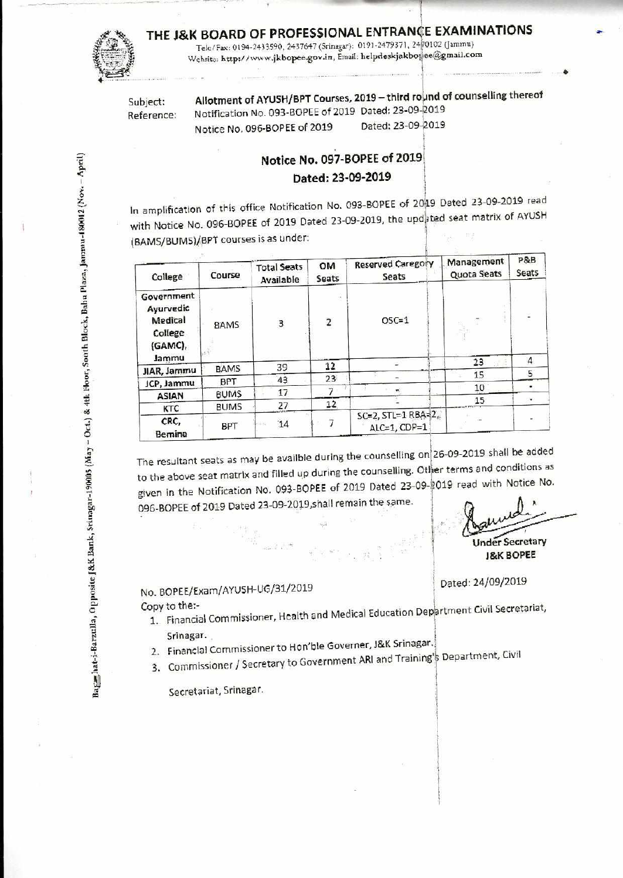## **THE J&K BOARD OF PROFESSIONAL ENTRANCE EXAMINATIONS** Tele/Fax: 0194-2433590, 2437647 (Srinagar): 0191-2479371, 24 $\frac{1}{2}$ 0102 (Jammu)

Website: http://www.jkbopee.gov.in, Email: helpdeskjakbopee@gmail.com

Subject: **Allotment of AYUSH/BPT Courses, 2019 – third round of counselling thereof** Reference: Notification No. 093-BOPEE of 2019 Dated: 23-09-2019<br>Notice No. 096-BOPEE of 2019 Dated: 23-09-2019 Notice No. 096-BOPEE of 2019

•

## **Notice No. 097-BOPEE of 2019**

**bated: 23-09-2019** 

In amplification of this office Notification No. 093-BOPEE of 2049 Dated 23-09-2019 read with Notice No. 096-BOPEE of 2019 Dated 23-09-2019, the updeted seat matrix of AYUSH (BAMS/BUMS)/BPT courses is as under:

| College                                                          | Course      | <b>Total Seats</b><br>Available | OM<br>Seats             | <b>Reserved Caregory</b><br>Seats          | Management<br>Quota Seats | P&B<br>Seats     |
|------------------------------------------------------------------|-------------|---------------------------------|-------------------------|--------------------------------------------|---------------------------|------------------|
| Government<br>Ayurvedic<br>Medical<br>College<br>(GAMC)<br>Jammu | BAMS        | 3                               | $\overline{\mathbf{c}}$ | $OSC=1$                                    |                           | $\boldsymbol{A}$ |
| JIAR, Jammu                                                      | <b>BAMS</b> | 39                              | 12                      |                                            | 23                        |                  |
| JCP, Jammu                                                       | <b>BPT</b>  | 43                              | 23                      |                                            | 15                        | 5                |
|                                                                  | <b>BUMS</b> | 17                              |                         |                                            | 10                        |                  |
| <b>ASIAN</b>                                                     |             |                                 | 12                      |                                            | 15                        |                  |
| <b>KTC</b>                                                       | <b>BUMS</b> | 27                              |                         |                                            |                           |                  |
| CRC,<br>Bemina                                                   | <b>BPT</b>  | 14                              |                         | $SC=2$ , $STL=1$ $RBA=2$ .<br>ALC=1, CDP=1 |                           |                  |

The resultant seats as may be availbie during the counselling on26-09-2019 shall **be added**  to the above seat matrix and filled up during the counselling. Other terms and conditions as given in the Notification No. 093-BOPEE of 2019 Dated 23-09-2019 read with Notice No. 096-BOPEE of 2019 Dated 23-09-2019,shall remain the same.

Under Secretary **&K BOPEE** 

Dated: 24/09/2019

No. BOPEE/Exam/AYUSH-UG/31/2019 **Copy to** the:-

1. Financial Commissioner, Health and Medical Education Department Civil Secretariat, Srinagar.

- 2. Financial Commissioner to Hon'ble Governer, J&K Srinagar.
- 3. Commissioner / Secretary to Government ARI and Training's Department, Civil

Secretariat, Srinagar.